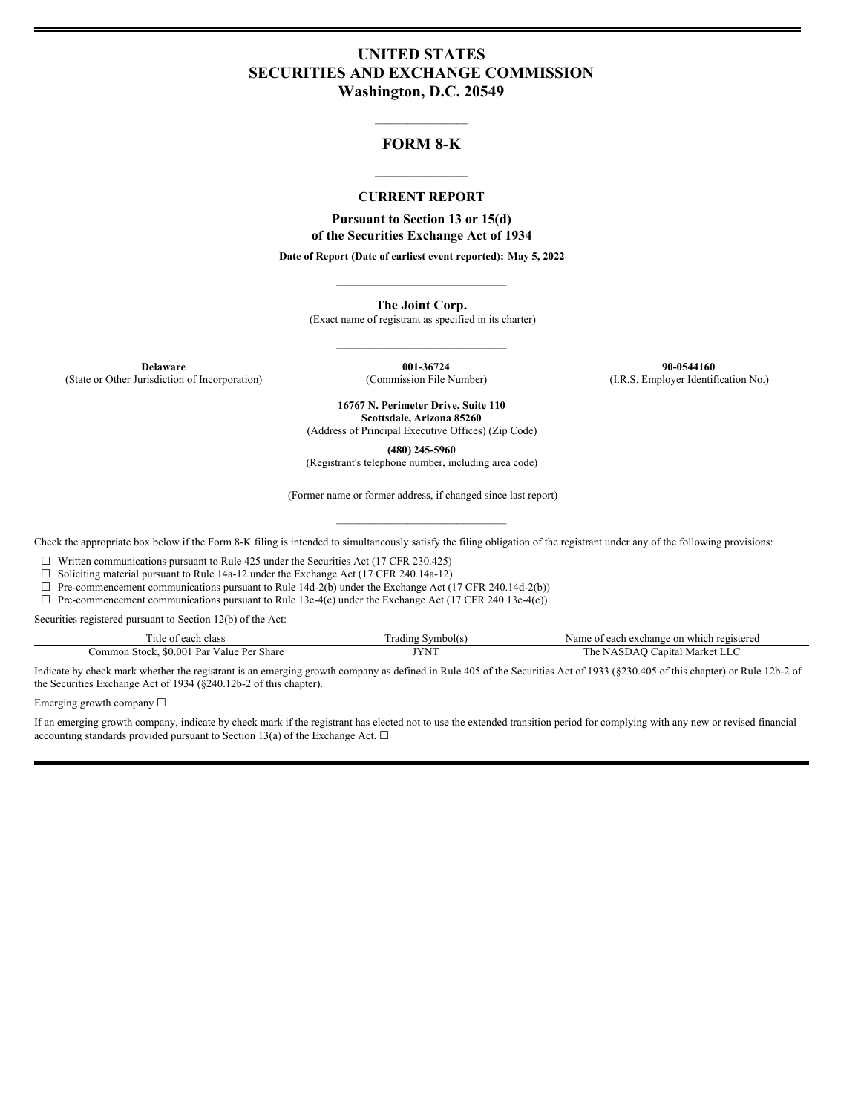## **UNITED STATES SECURITIES AND EXCHANGE COMMISSION Washington, D.C. 20549**

## $\mathcal{L}_\text{max}$  and  $\mathcal{L}_\text{max}$ **FORM 8-K**

## $\mathcal{L}_\text{max}$  and  $\mathcal{L}_\text{max}$ **CURRENT REPORT**

**Pursuant to Section 13 or 15(d) of the Securities Exchange Act of 1934**

**Date of Report (Date of earliest event reported): May 5, 2022** \_\_\_\_\_\_\_\_\_\_\_\_\_\_\_\_\_\_\_\_\_\_\_\_\_\_\_\_\_\_\_

**The Joint Corp.**

(Exact name of registrant as specified in its charter) \_\_\_\_\_\_\_\_\_\_\_\_\_\_\_\_\_\_\_\_\_\_\_\_\_\_\_\_\_\_\_

**Delaware 001-36724 90-0544160** (State or Other Jurisdiction of Incorporation) (Commission File Number) (I.R.S. Employer Identification No.)

> **16767 N. Perimeter Drive, Suite 110 Scottsdale, Arizona 85260** (Address of Principal Executive Offices) (Zip Code)

**(480) 245-5960**

(Registrant's telephone number, including area code)

(Former name or former address, if changed since last report) \_\_\_\_\_\_\_\_\_\_\_\_\_\_\_\_\_\_\_\_\_\_\_\_\_\_\_\_\_\_\_

Check the appropriate box below if the Form 8-K filing is intended to simultaneously satisfy the filing obligation of the registrant under any of the following provisions:

 $\Box$  Written communications pursuant to Rule 425 under the Securities Act (17 CFR 230.425)

□ Soliciting material pursuant to Rule 14a-12 under the Exchange Act (17 CFR 240.14a-12)<br>□ Pre-commencement communications pursuant to Rule 14d-2(b) under the Exchange Act (

Pre-commencement communications pursuant to Rule 14d-2(b) under the Exchange Act (17 CFR 240.14d-2(b))

 $\Box$  Pre-commencement communications pursuant to Rule 13e-4(c) under the Exchange Act (17 CFR 240.13e-4(c))

Securities registered pursuant to Section 12(b) of the Act:

| class<br>. itle<br>ΩŤ                                     | radin<br>کا ۱۵۵۱ | registered<br>e on which<br>Name<br>each<br>exchange |
|-----------------------------------------------------------|------------------|------------------------------------------------------|
| Par<br>$P_{\alpha_1}$<br>ommon<br>Share<br>Value<br>stoc' | <b>VNT</b>       | . Market i<br>he<br>`anıta I<br>יי<br>э.             |

Indicate by check mark whether the registrant is an emerging growth company as defined in Rule 405 of the Securities Act of 1933 (§230.405 of this chapter) or Rule 12b-2 of the Securities Exchange Act of 1934 (§240.12b-2 of this chapter).

Emerging growth company ☐

If an emerging growth company, indicate by check mark if the registrant has elected not to use the extended transition period for complying with any new or revised financial accounting standards provided pursuant to Section 13(a) of the Exchange Act.  $\square$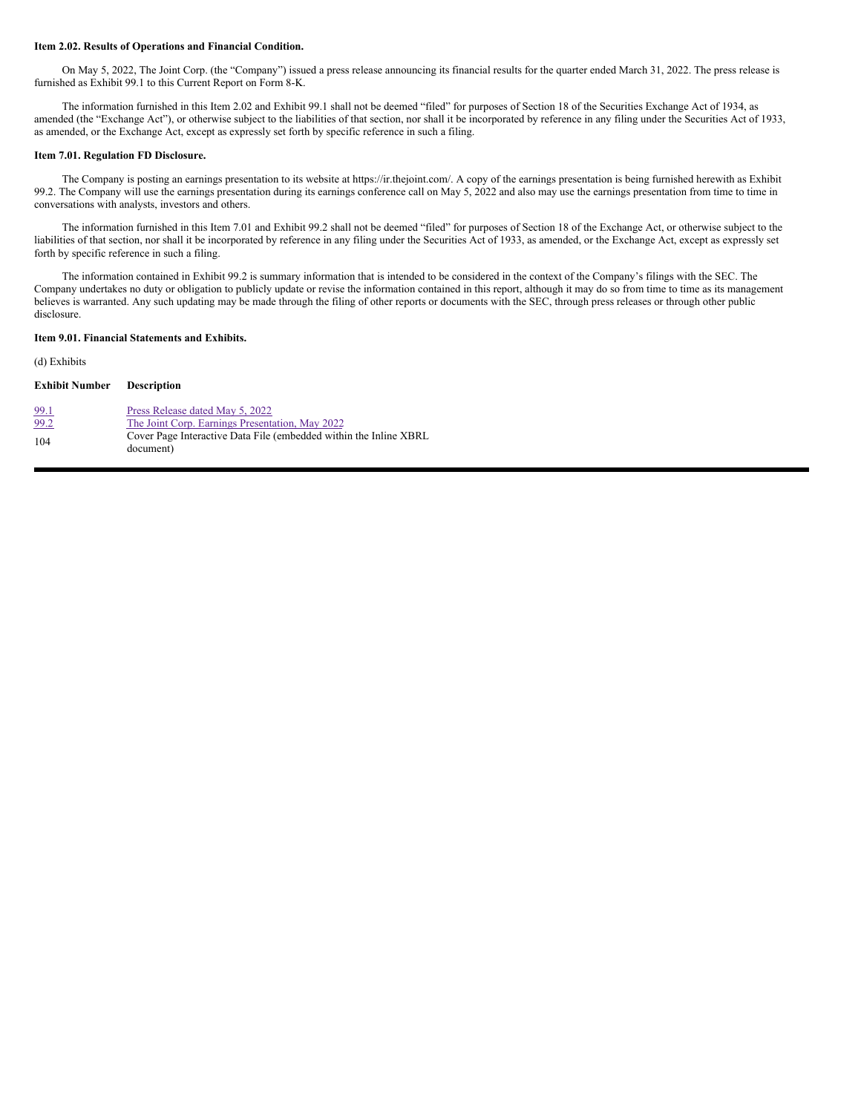#### **Item 2.02. Results of Operations and Financial Condition.**

On May 5, 2022, The Joint Corp. (the "Company") issued a press release announcing its financial results for the quarter ended March 31, 2022. The press release is furnished as Exhibit 99.1 to this Current Report on Form 8-K.

The information furnished in this Item 2.02 and Exhibit 99.1 shall not be deemed "filed" for purposes of Section 18 of the Securities Exchange Act of 1934, as amended (the "Exchange Act"), or otherwise subject to the liabilities of that section, nor shall it be incorporated by reference in any filing under the Securities Act of 1933, as amended, or the Exchange Act, except as expressly set forth by specific reference in such a filing.

#### **Item 7.01. Regulation FD Disclosure.**

The Company is posting an earnings presentation to its website at https://ir.thejoint.com/. A copy of the earnings presentation is being furnished herewith as Exhibit 99.2. The Company will use the earnings presentation during its earnings conference call on May 5, 2022 and also may use the earnings presentation from time to time in conversations with analysts, investors and others.

The information furnished in this Item 7.01 and Exhibit 99.2 shall not be deemed "filed" for purposes of Section 18 of the Exchange Act, or otherwise subject to the liabilities of that section, nor shall it be incorporated by reference in any filing under the Securities Act of 1933, as amended, or the Exchange Act, except as expressly set forth by specific reference in such a filing.

The information contained in Exhibit 99.2 is summary information that is intended to be considered in the context of the Company's filings with the SEC. The Company undertakes no duty or obligation to publicly update or revise the information contained in this report, although it may do so from time to time as its management believes is warranted. Any such updating may be made through the filing of other reports or documents with the SEC, through press releases or through other public disclosure.

#### **Item 9.01. Financial Statements and Exhibits.**

(d) Exhibits

| 99.1 | Press Release dated May 5, 2022                                    |
|------|--------------------------------------------------------------------|
| 99.2 | The Joint Corp. Earnings Presentation. May 2022                    |
| 104  | Cover Page Interactive Data File (embedded within the Inline XBRL) |
|      | document)                                                          |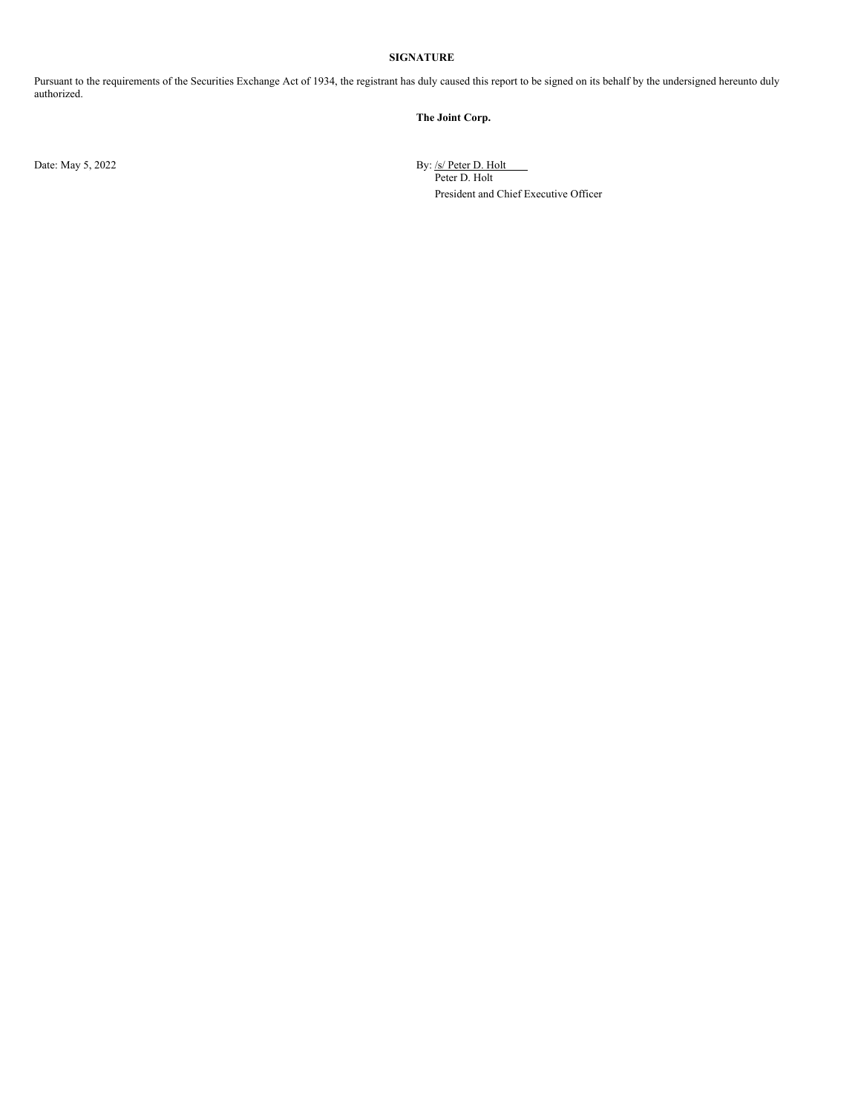### **SIGNATURE**

Pursuant to the requirements of the Securities Exchange Act of 1934, the registrant has duly caused this report to be signed on its behalf by the undersigned hereunto duly authorized.

**The Joint Corp.**

Date: May 5, 2022 By: /s/ Peter D. Holt Peter D. Holt President and Chief Executive Officer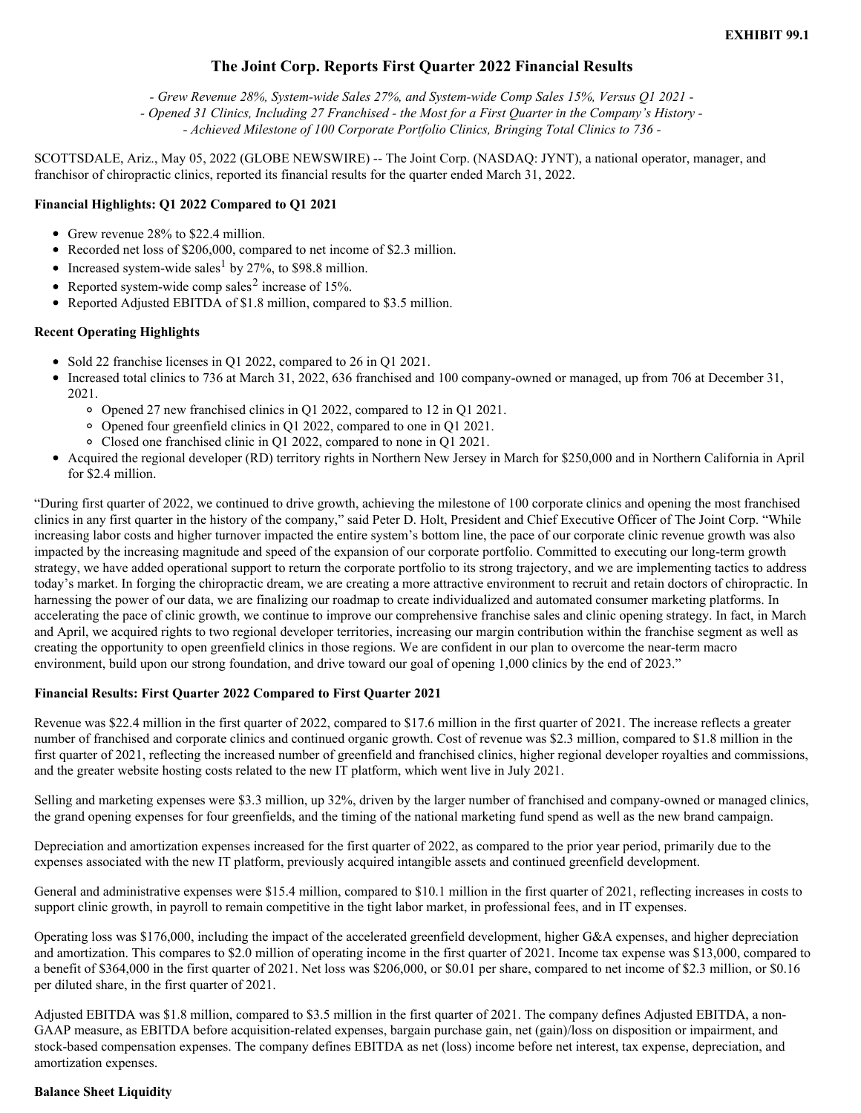## **The Joint Corp. Reports First Quarter 2022 Financial Results**

*- Grew Revenue 28%, System-wide Sales 27%, and System-wide Comp Sales 15%, Versus Q1 2021 -*

- Opened 31 Clinics, Including 27 Franchised - the Most for a First Quarter in the Company's History -

*- Achieved Milestone of 100 Corporate Portfolio Clinics, Bringing Total Clinics to 736 -*

SCOTTSDALE, Ariz., May 05, 2022 (GLOBE NEWSWIRE) -- The Joint Corp. (NASDAQ: JYNT), a national operator, manager, and franchisor of chiropractic clinics, reported its financial results for the quarter ended March 31, 2022.

### **Financial Highlights: Q1 2022 Compared to Q1 2021**

- Grew revenue 28% to \$22.4 million.
- Recorded net loss of \$206,000, compared to net income of \$2.3 million.
- Increased system-wide sales<sup>1</sup> by 27%, to \$98.8 million.
- Reported system-wide comp sales<sup>2</sup> increase of 15%.
- Reported Adjusted EBITDA of \$1.8 million, compared to \$3.5 million.

### **Recent Operating Highlights**

- Sold 22 franchise licenses in Q1 2022, compared to 26 in Q1 2021.
- Increased total clinics to 736 at March 31, 2022, 636 franchised and 100 company-owned or managed, up from 706 at December 31, 2021.
	- Opened 27 new franchised clinics in Q1 2022, compared to 12 in Q1 2021.
	- Opened four greenfield clinics in Q1 2022, compared to one in Q1 2021.
	- Closed one franchised clinic in Q1 2022, compared to none in Q1 2021.
- Acquired the regional developer (RD) territory rights in Northern New Jersey in March for \$250,000 and in Northern California in April for \$2.4 million.

"During first quarter of 2022, we continued to drive growth, achieving the milestone of 100 corporate clinics and opening the most franchised clinics in any first quarter in the history of the company," said Peter D. Holt, President and Chief Executive Officer of The Joint Corp. "While increasing labor costs and higher turnover impacted the entire system's bottom line, the pace of our corporate clinic revenue growth was also impacted by the increasing magnitude and speed of the expansion of our corporate portfolio. Committed to executing our long-term growth strategy, we have added operational support to return the corporate portfolio to its strong trajectory, and we are implementing tactics to address today's market. In forging the chiropractic dream, we are creating a more attractive environment to recruit and retain doctors of chiropractic. In harnessing the power of our data, we are finalizing our roadmap to create individualized and automated consumer marketing platforms. In accelerating the pace of clinic growth, we continue to improve our comprehensive franchise sales and clinic opening strategy. In fact, in March and April, we acquired rights to two regional developer territories, increasing our margin contribution within the franchise segment as well as creating the opportunity to open greenfield clinics in those regions. We are confident in our plan to overcome the near-term macro environment, build upon our strong foundation, and drive toward our goal of opening 1,000 clinics by the end of 2023."

### **Financial Results: First Quarter 2022 Compared to First Quarter 2021**

Revenue was \$22.4 million in the first quarter of 2022, compared to \$17.6 million in the first quarter of 2021. The increase reflects a greater number of franchised and corporate clinics and continued organic growth. Cost of revenue was \$2.3 million, compared to \$1.8 million in the first quarter of 2021, reflecting the increased number of greenfield and franchised clinics, higher regional developer royalties and commissions, and the greater website hosting costs related to the new IT platform, which went live in July 2021.

Selling and marketing expenses were \$3.3 million, up 32%, driven by the larger number of franchised and company-owned or managed clinics, the grand opening expenses for four greenfields, and the timing of the national marketing fund spend as well as the new brand campaign.

Depreciation and amortization expenses increased for the first quarter of 2022, as compared to the prior year period, primarily due to the expenses associated with the new IT platform, previously acquired intangible assets and continued greenfield development.

General and administrative expenses were \$15.4 million, compared to \$10.1 million in the first quarter of 2021, reflecting increases in costs to support clinic growth, in payroll to remain competitive in the tight labor market, in professional fees, and in IT expenses.

Operating loss was \$176,000, including the impact of the accelerated greenfield development, higher G&A expenses, and higher depreciation and amortization. This compares to \$2.0 million of operating income in the first quarter of 2021. Income tax expense was \$13,000, compared to a benefit of \$364,000 in the first quarter of 2021. Net loss was \$206,000, or \$0.01 per share, compared to net income of \$2.3 million, or \$0.16 per diluted share, in the first quarter of 2021.

Adjusted EBITDA was \$1.8 million, compared to \$3.5 million in the first quarter of 2021. The company defines Adjusted EBITDA, a non-GAAP measure, as EBITDA before acquisition-related expenses, bargain purchase gain, net (gain)/loss on disposition or impairment, and stock-based compensation expenses. The company defines EBITDA as net (loss) income before net interest, tax expense, depreciation, and amortization expenses.

### **Balance Sheet Liquidity**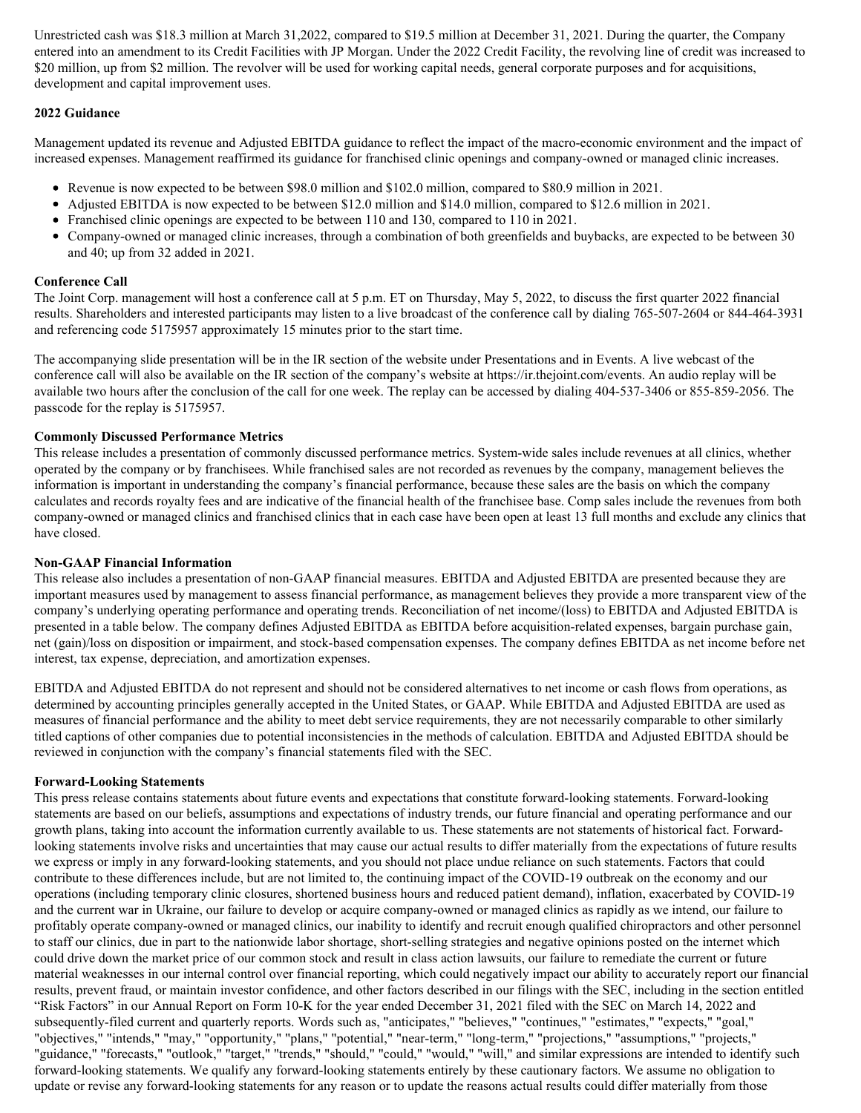Unrestricted cash was \$18.3 million at March 31,2022, compared to \$19.5 million at December 31, 2021. During the quarter, the Company entered into an amendment to its Credit Facilities with JP Morgan. Under the 2022 Credit Facility, the revolving line of credit was increased to \$20 million, up from \$2 million. The revolver will be used for working capital needs, general corporate purposes and for acquisitions, development and capital improvement uses.

### **2022 Guidance**

Management updated its revenue and Adjusted EBITDA guidance to reflect the impact of the macro-economic environment and the impact of increased expenses. Management reaffirmed its guidance for franchised clinic openings and company-owned or managed clinic increases.

- Revenue is now expected to be between \$98.0 million and \$102.0 million, compared to \$80.9 million in 2021.
- Adjusted EBITDA is now expected to be between \$12.0 million and \$14.0 million, compared to \$12.6 million in 2021.
- Franchised clinic openings are expected to be between 110 and 130, compared to 110 in 2021.
- Company-owned or managed clinic increases, through a combination of both greenfields and buybacks, are expected to be between 30 and 40; up from 32 added in 2021.

### **Conference Call**

The Joint Corp. management will host a conference call at 5 p.m. ET on Thursday, May 5, 2022, to discuss the first quarter 2022 financial results. Shareholders and interested participants may listen to a live broadcast of the conference call by dialing 765-507-2604 or 844-464-3931 and referencing code 5175957 approximately 15 minutes prior to the start time.

The accompanying slide presentation will be in the IR section of the website under Presentations and in Events. A live webcast of the conference call will also be available on the IR section of the company's website at https://ir.thejoint.com/events. An audio replay will be available two hours after the conclusion of the call for one week. The replay can be accessed by dialing 404-537-3406 or 855-859-2056. The passcode for the replay is 5175957.

### **Commonly Discussed Performance Metrics**

This release includes a presentation of commonly discussed performance metrics. System-wide sales include revenues at all clinics, whether operated by the company or by franchisees. While franchised sales are not recorded as revenues by the company, management believes the information is important in understanding the company's financial performance, because these sales are the basis on which the company calculates and records royalty fees and are indicative of the financial health of the franchisee base. Comp sales include the revenues from both company-owned or managed clinics and franchised clinics that in each case have been open at least 13 full months and exclude any clinics that have closed.

### **Non-GAAP Financial Information**

This release also includes a presentation of non-GAAP financial measures. EBITDA and Adjusted EBITDA are presented because they are important measures used by management to assess financial performance, as management believes they provide a more transparent view of the company's underlying operating performance and operating trends. Reconciliation of net income/(loss) to EBITDA and Adjusted EBITDA is presented in a table below. The company defines Adjusted EBITDA as EBITDA before acquisition-related expenses, bargain purchase gain, net (gain)/loss on disposition or impairment, and stock-based compensation expenses. The company defines EBITDA as net income before net interest, tax expense, depreciation, and amortization expenses.

EBITDA and Adjusted EBITDA do not represent and should not be considered alternatives to net income or cash flows from operations, as determined by accounting principles generally accepted in the United States, or GAAP. While EBITDA and Adjusted EBITDA are used as measures of financial performance and the ability to meet debt service requirements, they are not necessarily comparable to other similarly titled captions of other companies due to potential inconsistencies in the methods of calculation. EBITDA and Adjusted EBITDA should be reviewed in conjunction with the company's financial statements filed with the SEC.

### **Forward-Looking Statements**

This press release contains statements about future events and expectations that constitute forward-looking statements. Forward-looking statements are based on our beliefs, assumptions and expectations of industry trends, our future financial and operating performance and our growth plans, taking into account the information currently available to us. These statements are not statements of historical fact. Forwardlooking statements involve risks and uncertainties that may cause our actual results to differ materially from the expectations of future results we express or imply in any forward-looking statements, and you should not place undue reliance on such statements. Factors that could contribute to these differences include, but are not limited to, the continuing impact of the COVID-19 outbreak on the economy and our operations (including temporary clinic closures, shortened business hours and reduced patient demand), inflation, exacerbated by COVID-19 and the current war in Ukraine, our failure to develop or acquire company-owned or managed clinics as rapidly as we intend, our failure to profitably operate company-owned or managed clinics, our inability to identify and recruit enough qualified chiropractors and other personnel to staff our clinics, due in part to the nationwide labor shortage, short-selling strategies and negative opinions posted on the internet which could drive down the market price of our common stock and result in class action lawsuits, our failure to remediate the current or future material weaknesses in our internal control over financial reporting, which could negatively impact our ability to accurately report our financial results, prevent fraud, or maintain investor confidence, and other factors described in our filings with the SEC, including in the section entitled "Risk Factors" in our Annual Report on Form 10-K for the year ended December 31, 2021 filed with the SEC on March 14, 2022 and subsequently-filed current and quarterly reports. Words such as, "anticipates," "believes," "continues," "estimates," "expects," "goal," "objectives," "intends," "may," "opportunity," "plans," "potential," "near-term," "long-term," "projections," "assumptions," "projects," "guidance," "forecasts," "outlook," "target," "trends," "should," "could," "would," "will," and similar expressions are intended to identify such forward-looking statements. We qualify any forward-looking statements entirely by these cautionary factors. We assume no obligation to update or revise any forward-looking statements for any reason or to update the reasons actual results could differ materially from those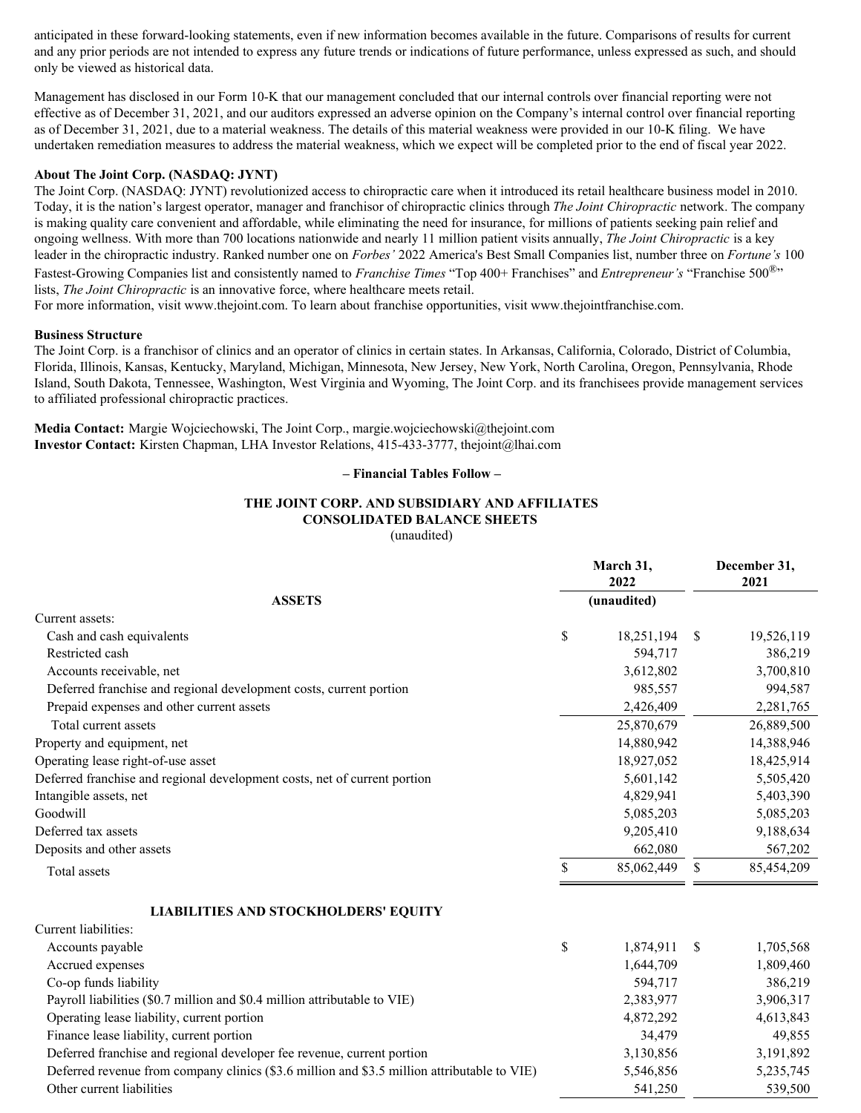<span id="page-5-0"></span>anticipated in these forward-looking statements, even if new information becomes available in the future. Comparisons of results for current and any prior periods are not intended to express any future trends or indications of future performance, unless expressed as such, and should only be viewed as historical data.

Management has disclosed in our Form 10-K that our management concluded that our internal controls over financial reporting were not effective as of December 31, 2021, and our auditors expressed an adverse opinion on the Company's internal control over financial reporting as of December 31, 2021, due to a material weakness. The details of this material weakness were provided in our 10-K filing. We have undertaken remediation measures to address the material weakness, which we expect will be completed prior to the end of fiscal year 2022.

### **About The Joint Corp. (NASDAQ: JYNT)**

The Joint Corp. (NASDAQ: JYNT) revolutionized access to chiropractic care when it introduced its retail healthcare business model in 2010. Today, it is the nation's largest operator, manager and franchisor of chiropractic clinics through *The Joint Chiropractic* network. The company is making quality care convenient and affordable, while eliminating the need for insurance, for millions of patients seeking pain relief and ongoing wellness. With more than 700 locations nationwide and nearly 11 million patient visits annually, *The Joint Chiropractic* is a key leader in the chiropractic industry. Ranked number one on *Forbes'* 2022 America's Best Small Companies list, number three on *Fortune's* 100 Fastest-Growing Companies list and consistently named to *Franchise Times* "Top 400+ Franchises" and *Entrepreneur's* "Franchise 500®" lists, *The Joint Chiropractic* is an innovative force, where healthcare meets retail.

For more information, visit www.thejoint.com. To learn about franchise opportunities, visit www.thejointfranchise.com.

#### **Business Structure**

The Joint Corp. is a franchisor of clinics and an operator of clinics in certain states. In Arkansas, California, Colorado, District of Columbia, Florida, Illinois, Kansas, Kentucky, Maryland, Michigan, Minnesota, New Jersey, New York, North Carolina, Oregon, Pennsylvania, Rhode Island, South Dakota, Tennessee, Washington, West Virginia and Wyoming, The Joint Corp. and its franchisees provide management services to affiliated professional chiropractic practices.

**Media Contact:** Margie Wojciechowski, The Joint Corp., margie.wojciechowski@thejoint.com **Investor Contact:** Kirsten Chapman, LHA Investor Relations, 415-433-3777, thejoint@lhai.com

#### **– Financial Tables Follow –**

## **THE JOINT CORP. AND SUBSIDIARY AND AFFILIATES CONSOLIDATED BALANCE SHEETS**

(unaudited)

**March 31,**

**December 31,**

|                                                                                             |    | 2022        |          | 2021       |
|---------------------------------------------------------------------------------------------|----|-------------|----------|------------|
| <b>ASSETS</b>                                                                               |    | (unaudited) |          |            |
| Current assets:                                                                             |    |             |          |            |
| Cash and cash equivalents                                                                   | \$ | 18,251,194  | S        | 19,526,119 |
| Restricted cash                                                                             |    | 594,717     |          | 386,219    |
| Accounts receivable, net                                                                    |    | 3,612,802   |          | 3,700,810  |
| Deferred franchise and regional development costs, current portion                          |    | 985,557     |          | 994,587    |
| Prepaid expenses and other current assets                                                   |    | 2,426,409   |          | 2,281,765  |
| Total current assets                                                                        |    | 25,870,679  |          | 26,889,500 |
| Property and equipment, net                                                                 |    | 14,880,942  |          | 14,388,946 |
| Operating lease right-of-use asset                                                          |    | 18,927,052  |          | 18,425,914 |
| Deferred franchise and regional development costs, net of current portion                   |    | 5,601,142   |          | 5,505,420  |
| Intangible assets, net                                                                      |    | 4,829,941   |          | 5,403,390  |
| Goodwill                                                                                    |    | 5,085,203   |          | 5,085,203  |
| Deferred tax assets                                                                         |    | 9,205,410   |          | 9,188,634  |
| Deposits and other assets                                                                   |    | 662,080     |          | 567,202    |
| Total assets                                                                                | \$ | 85,062,449  | \$       | 85,454,209 |
| <b>LIABILITIES AND STOCKHOLDERS' EQUITY</b>                                                 |    |             |          |            |
| Current liabilities:                                                                        |    |             |          |            |
| Accounts payable                                                                            | \$ | 1,874,911   | <b>S</b> | 1,705,568  |
| Accrued expenses                                                                            |    | 1,644,709   |          | 1,809,460  |
| Co-op funds liability                                                                       |    | 594,717     |          | 386,219    |
| Payroll liabilities (\$0.7 million and \$0.4 million attributable to VIE)                   |    | 2,383,977   |          | 3,906,317  |
| Operating lease liability, current portion                                                  |    | 4,872,292   |          | 4,613,843  |
| Finance lease liability, current portion                                                    |    | 34,479      |          | 49,855     |
| Deferred franchise and regional developer fee revenue, current portion                      |    | 3,130,856   |          | 3,191,892  |
| Deferred revenue from company clinics (\$3.6 million and \$3.5 million attributable to VIE) |    | 5,546,856   |          | 5,235,745  |
| Other current liabilities                                                                   |    | 541.250     |          | 539,500    |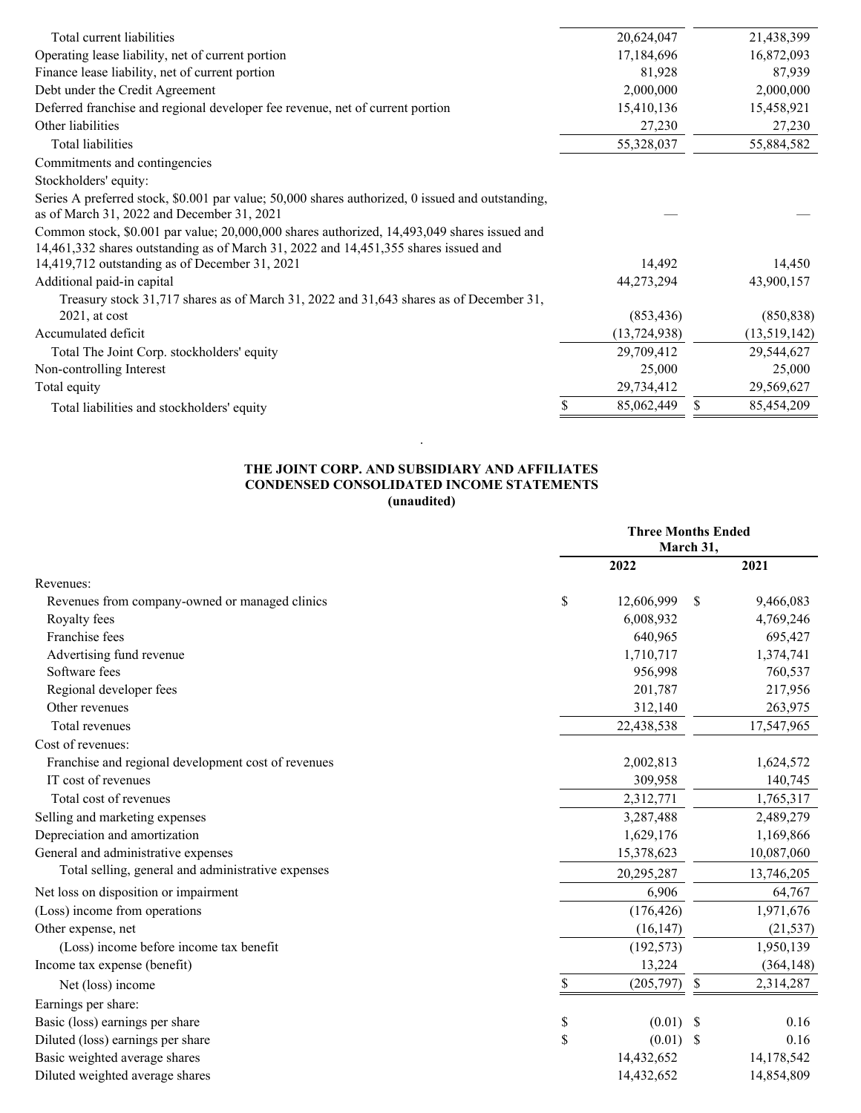| Total current liabilities                                                                                                                                                          | 20,624,047     | 21,438,399   |
|------------------------------------------------------------------------------------------------------------------------------------------------------------------------------------|----------------|--------------|
| Operating lease liability, net of current portion                                                                                                                                  | 17,184,696     | 16,872,093   |
| Finance lease liability, net of current portion                                                                                                                                    | 81,928         | 87,939       |
| Debt under the Credit Agreement                                                                                                                                                    | 2,000,000      | 2,000,000    |
| Deferred franchise and regional developer fee revenue, net of current portion                                                                                                      | 15,410,136     | 15,458,921   |
| Other liabilities                                                                                                                                                                  | 27,230         | 27,230       |
| Total liabilities                                                                                                                                                                  | 55,328,037     | 55,884,582   |
| Commitments and contingencies                                                                                                                                                      |                |              |
| Stockholders' equity:                                                                                                                                                              |                |              |
| Series A preferred stock, \$0.001 par value; 50,000 shares authorized, 0 issued and outstanding,<br>as of March 31, 2022 and December 31, 2021                                     |                |              |
| Common stock, \$0.001 par value; 20,000,000 shares authorized, 14,493,049 shares issued and<br>14,461,332 shares outstanding as of March 31, 2022 and 14,451,355 shares issued and |                |              |
| 14,419,712 outstanding as of December 31, 2021                                                                                                                                     | 14,492         | 14,450       |
| Additional paid-in capital                                                                                                                                                         | 44,273,294     | 43,900,157   |
| Treasury stock 31,717 shares as of March 31, 2022 and 31,643 shares as of December 31,                                                                                             |                |              |
| $2021$ , at cost                                                                                                                                                                   | (853, 436)     | (850, 838)   |
| Accumulated deficit                                                                                                                                                                | (13, 724, 938) | (13,519,142) |
| Total The Joint Corp. stockholders' equity                                                                                                                                         | 29,709,412     | 29,544,627   |
| Non-controlling Interest                                                                                                                                                           | 25,000         | 25,000       |
| Total equity                                                                                                                                                                       | 29,734,412     | 29,569,627   |
| Total liabilities and stockholders' equity                                                                                                                                         | 85,062,449     | 85,454,209   |
|                                                                                                                                                                                    |                |              |

## **THE JOINT CORP. AND SUBSIDIARY AND AFFILIATES CONDENSED CONSOLIDATED INCOME STATEMENTS (unaudited)**

.

|                                                     | <b>Three Months Ended</b><br>March 31, |               |            |  |
|-----------------------------------------------------|----------------------------------------|---------------|------------|--|
|                                                     | 2022                                   |               | 2021       |  |
| Revenues:                                           |                                        |               |            |  |
| Revenues from company-owned or managed clinics      | \$<br>12,606,999                       | <sup>\$</sup> | 9,466,083  |  |
| Royalty fees                                        | 6,008,932                              |               | 4,769,246  |  |
| Franchise fees                                      | 640,965                                |               | 695,427    |  |
| Advertising fund revenue                            | 1,710,717                              |               | 1,374,741  |  |
| Software fees                                       | 956,998                                |               | 760,537    |  |
| Regional developer fees                             | 201,787                                |               | 217,956    |  |
| Other revenues                                      | 312,140                                |               | 263,975    |  |
| Total revenues                                      | 22,438,538                             |               | 17,547,965 |  |
| Cost of revenues:                                   |                                        |               |            |  |
| Franchise and regional development cost of revenues | 2,002,813                              |               | 1,624,572  |  |
| IT cost of revenues                                 | 309,958                                |               | 140,745    |  |
| Total cost of revenues                              | 2,312,771                              |               | 1,765,317  |  |
| Selling and marketing expenses                      | 3,287,488                              |               | 2,489,279  |  |
| Depreciation and amortization                       | 1,629,176                              |               | 1,169,866  |  |
| General and administrative expenses                 | 15,378,623                             |               | 10,087,060 |  |
| Total selling, general and administrative expenses  | 20,295,287                             |               | 13,746,205 |  |
| Net loss on disposition or impairment               | 6,906                                  |               | 64,767     |  |
| (Loss) income from operations                       | (176, 426)                             |               | 1,971,676  |  |
| Other expense, net                                  | (16, 147)                              |               | (21, 537)  |  |
| (Loss) income before income tax benefit             | (192, 573)                             |               | 1,950,139  |  |
| Income tax expense (benefit)                        | 13,224                                 |               | (364, 148) |  |
| Net (loss) income                                   | \$<br>(205, 797)                       | $\mathbb{S}$  | 2,314,287  |  |
| Earnings per share:                                 |                                        |               |            |  |
| Basic (loss) earnings per share                     | \$<br>(0.01)                           | -\$           | 0.16       |  |
| Diluted (loss) earnings per share                   | \$<br>$(0.01)$ \$                      |               | 0.16       |  |
| Basic weighted average shares                       | 14,432,652                             |               | 14,178,542 |  |
| Diluted weighted average shares                     | 14,432,652                             |               | 14,854,809 |  |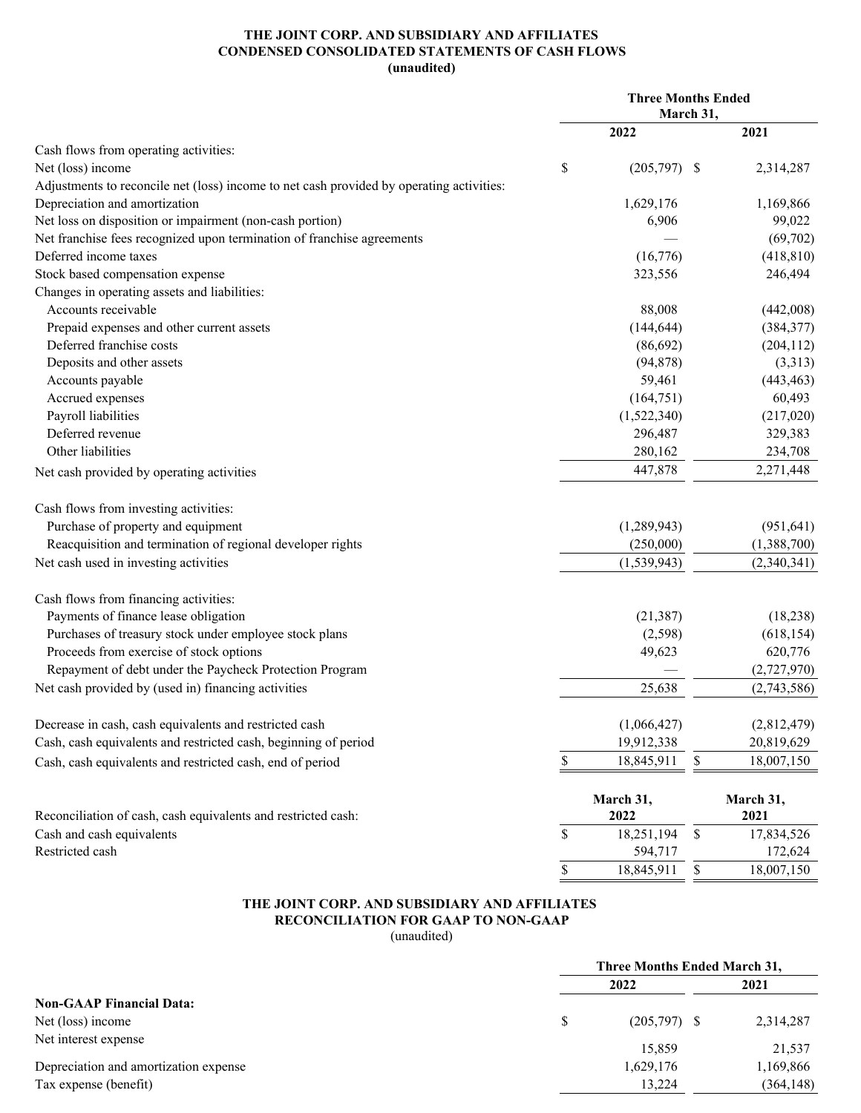### **THE JOINT CORP. AND SUBSIDIARY AND AFFILIATES CONDENSED CONSOLIDATED STATEMENTS OF CASH FLOWS (unaudited)**

|                                                                                          | <b>Three Months Ended</b><br>March 31, |                   |              |                   |
|------------------------------------------------------------------------------------------|----------------------------------------|-------------------|--------------|-------------------|
|                                                                                          |                                        | 2022              |              | 2021              |
| Cash flows from operating activities:                                                    |                                        |                   |              |                   |
| Net (loss) income                                                                        | \$                                     | $(205,797)$ \$    |              | 2,314,287         |
| Adjustments to reconcile net (loss) income to net cash provided by operating activities: |                                        |                   |              |                   |
| Depreciation and amortization                                                            |                                        | 1,629,176         |              | 1,169,866         |
| Net loss on disposition or impairment (non-cash portion)                                 |                                        | 6,906             |              | 99,022            |
| Net franchise fees recognized upon termination of franchise agreements                   |                                        |                   |              | (69,702)          |
| Deferred income taxes                                                                    |                                        | (16,776)          |              | (418, 810)        |
| Stock based compensation expense                                                         |                                        | 323,556           |              | 246,494           |
| Changes in operating assets and liabilities:                                             |                                        |                   |              |                   |
| Accounts receivable                                                                      |                                        | 88,008            |              | (442,008)         |
| Prepaid expenses and other current assets                                                |                                        | (144, 644)        |              | (384, 377)        |
| Deferred franchise costs                                                                 |                                        | (86, 692)         |              | (204, 112)        |
| Deposits and other assets                                                                |                                        | (94, 878)         |              | (3,313)           |
| Accounts payable                                                                         |                                        | 59,461            |              | (443, 463)        |
| Accrued expenses                                                                         |                                        | (164, 751)        |              | 60,493            |
| Payroll liabilities                                                                      |                                        | (1,522,340)       |              | (217,020)         |
| Deferred revenue                                                                         |                                        | 296,487           |              | 329,383           |
| Other liabilities                                                                        |                                        | 280,162           |              | 234,708           |
| Net cash provided by operating activities                                                |                                        | 447,878           |              | 2,271,448         |
| Cash flows from investing activities:                                                    |                                        |                   |              |                   |
| Purchase of property and equipment                                                       |                                        | (1,289,943)       |              | (951, 641)        |
| Reacquisition and termination of regional developer rights                               |                                        | (250,000)         |              | (1,388,700)       |
| Net cash used in investing activities                                                    | (1,539,943)                            |                   |              | (2,340,341)       |
|                                                                                          |                                        |                   |              |                   |
| Cash flows from financing activities:                                                    |                                        |                   |              |                   |
| Payments of finance lease obligation                                                     |                                        | (21, 387)         |              | (18, 238)         |
| Purchases of treasury stock under employee stock plans                                   |                                        | (2,598)           |              | (618, 154)        |
| Proceeds from exercise of stock options                                                  |                                        | 49,623            |              | 620,776           |
| Repayment of debt under the Paycheck Protection Program                                  |                                        |                   |              | (2,727,970)       |
| Net cash provided by (used in) financing activities                                      |                                        | 25,638            |              | (2,743,586)       |
| Decrease in cash, cash equivalents and restricted cash                                   |                                        | (1,066,427)       |              | (2,812,479)       |
| Cash, cash equivalents and restricted cash, beginning of period                          |                                        | 19,912,338        |              | 20,819,629        |
| Cash, cash equivalents and restricted cash, end of period                                | \$                                     | 18,845,911        | \$           | 18,007,150        |
|                                                                                          |                                        |                   |              |                   |
| Reconciliation of cash, cash equivalents and restricted cash:                            |                                        | March 31,<br>2022 |              | March 31,<br>2021 |
| Cash and cash equivalents                                                                | \$                                     | 18,251,194        | $\mathbb{S}$ | 17,834,526        |
| Restricted cash                                                                          |                                        | 594,717           |              | 172,624           |
|                                                                                          | \$                                     | 18,845,911        | \$           | 18,007,150        |

## **THE JOINT CORP. AND SUBSIDIARY AND AFFILIATES RECONCILIATION FOR GAAP TO NON-GAAP**

(unaudited)

|                                       |    | Three Months Ended March 31, |            |  |  |  |
|---------------------------------------|----|------------------------------|------------|--|--|--|
|                                       |    | 2022                         | 2021       |  |  |  |
| <b>Non-GAAP Financial Data:</b>       |    |                              |            |  |  |  |
| Net (loss) income                     | S. | $(205,797)$ \$               | 2,314,287  |  |  |  |
| Net interest expense                  |    | 15,859                       | 21,537     |  |  |  |
| Depreciation and amortization expense |    | 1,629,176                    | 1,169,866  |  |  |  |
| Tax expense (benefit)                 |    | 13,224                       | (364, 148) |  |  |  |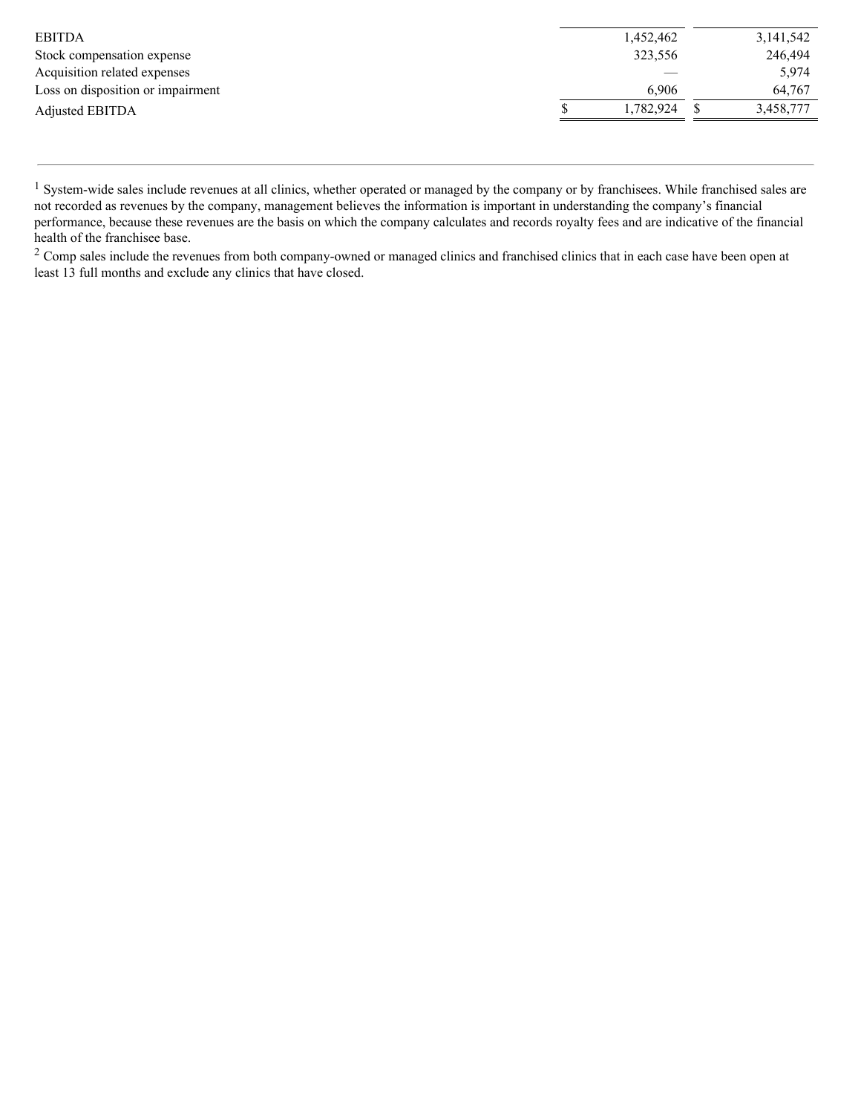| <b>EBITDA</b>                     | 1,452,462 | 3, 141, 542 |
|-----------------------------------|-----------|-------------|
| Stock compensation expense        | 323,556   | 246,494     |
| Acquisition related expenses      |           | 5,974       |
| Loss on disposition or impairment | 6.906     | 64,767      |
| Adjusted EBITDA                   | 1.782.924 | 3,458,777   |
|                                   |           |             |

<sup>&</sup>lt;sup>1</sup> System-wide sales include revenues at all clinics, whether operated or managed by the company or by franchisees. While franchised sales are not recorded as revenues by the company, management believes the information is important in understanding the company's financial performance, because these revenues are the basis on which the company calculates and records royalty fees and are indicative of the financial health of the franchisee base.

<sup>2</sup> Comp sales include the revenues from both company-owned or managed clinics and franchised clinics that in each case have been open at least 13 full months and exclude any clinics that have closed.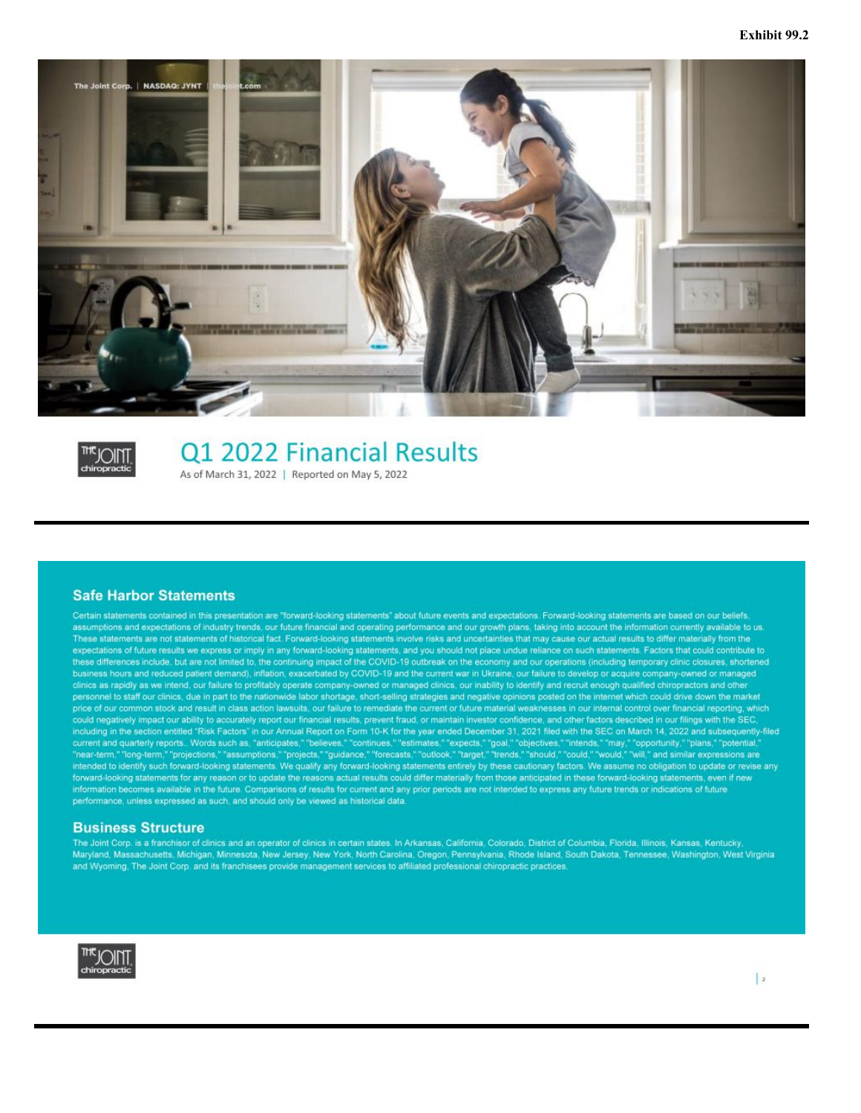



## Q1 2022 Financial Results

As of March 31, 2022 | Reported on May 5, 2022

### **Safe Harbor Statements**

Certain statements contained in this presentation are "forward-looking statements" about future events and expectations. Forward-looking statements are based on our beliefs, assumptions and expectations of industry trends, our future financial and operating performance and our growth plans, taking into account the information currently available to us These statements are not statements of historical fact. Forward-looking statements involve risks and uncertainties that may cause our actual results to differ materially from the expectations of future results we express or imply in any forward-looking statements, and you should not place undue reliance on such statements. Factors that could contribute to experiences include, but are not limited to, the continuing impact of the COVID-19 and the experiences on the experiences including temperature in such as the content of the COVID-19 and the current war in Ukraine, our fai price of our common stock and result in class action lawsuits, our failure to remediate the current or future material weaknesses in our internal control over financial reporting, which could negatively impact our ability to accurately report our financial results, prevent fraud, or maintain investor confidence, and other factors described in our filings with the SEC, including in the section entitled "Ri including in the section entireled Kisk Factors in our Arinhal Report on Form 10-K for the year ended because any forward-looking statements of results for current and quarterly reports... Worker with the Section of Figure performance, unless expressed as such, and should only be viewed as historical data.

#### **Business Structure**

The Joint Corp. is a franchisor of clinics and an operator of clinics in certain states. In Arkansas, California, Colorado, District of Columbia, Florida, Illinois, Kansas, Kentucky, Maryland, Massachusetts, Michigan, Minnesota, New Jersey, New York, North Carolina, Oregon, Pennsylvania, Rhode Island, South Dakota, Tennessee, Washington, West Virginia<br>and Wyoming, The Joint Corp. and its franchisees pr

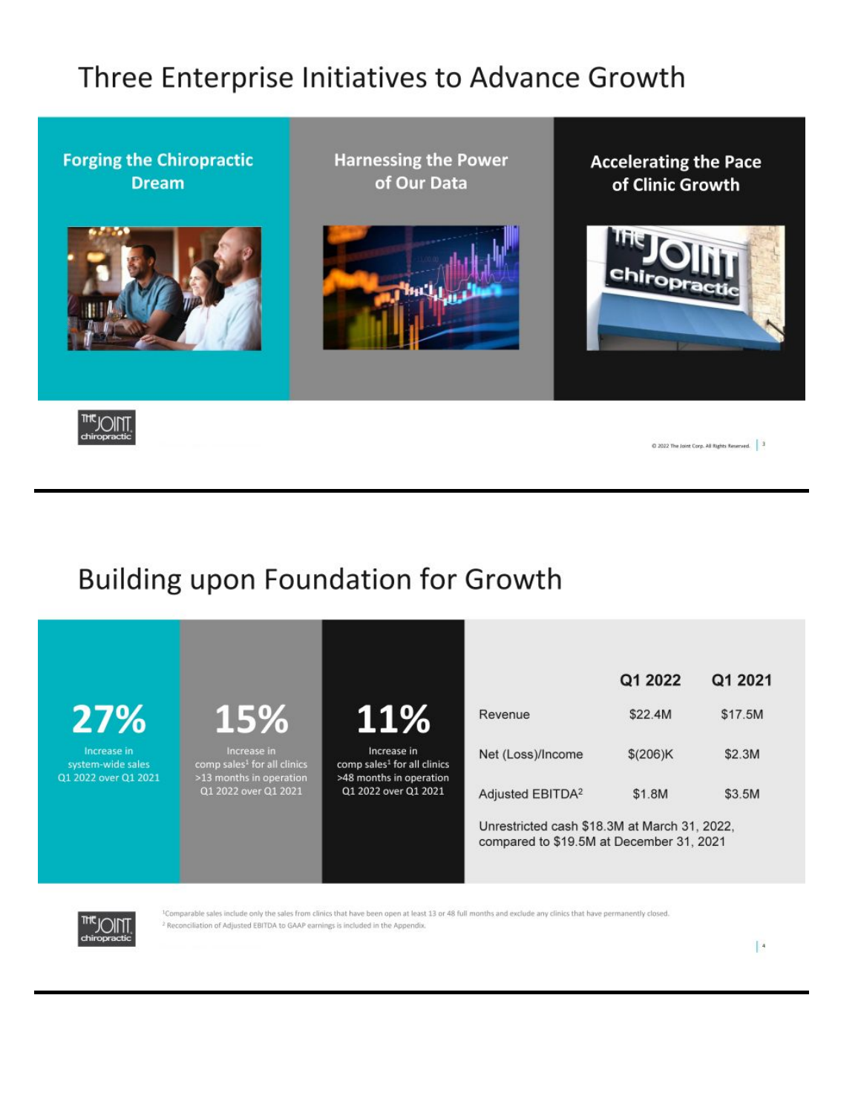# Three Enterprise Initiatives to Advance Growth



C 2022 The Joint Corp. All Rights Reserved. 3

# Building upon Foundation for Growth





<sup>1</sup>Comparable sales include only the sales from clinics that have been open at least 13 or 48 full months and exclude any clinics that have permanently closed. <sup>2</sup> Reconciliation of Adjusted EBITDA to GAAP earnings is included in the Appendix.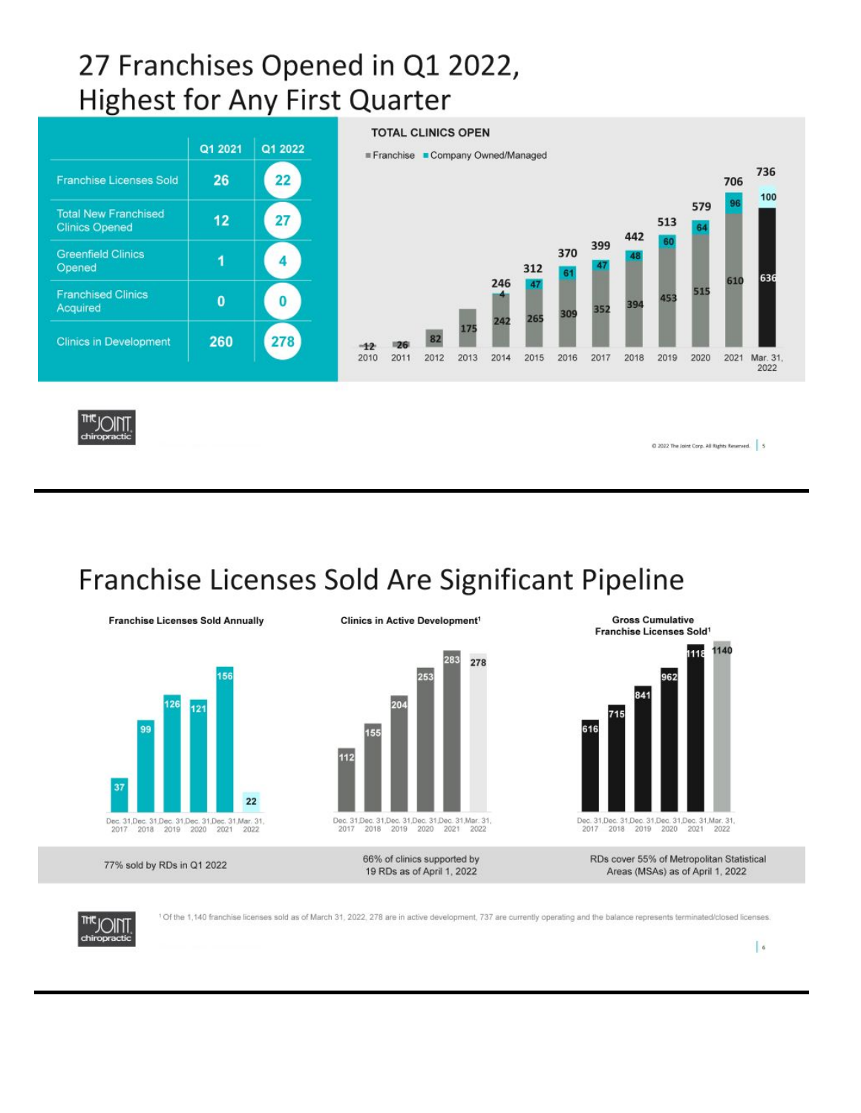# 27 Franchises Opened in Q1 2022, **Highest for Any First Quarter**



C 2022 The Joint Corp. All Rights Reserved. 5

# Franchise Licenses Sold Are Significant Pipeline



77% sold by RDs in Q1 2022

**Franchise Licenses Sold Annually** 



66% of clinics supported by

19 RDs as of April 1, 2022

Clinics in Active Development<sup>1</sup>

**Gross Cumulative Franchise Licenses Sold1** 1140 Dec. 31, Dec. 31, Dec. 31, Dec. 31, Dec. 31, Mar. 31,<br>2017 2018 2019 2020 2021 2022

RDs cover 55% of Metropolitan Statistical Areas (MSAs) as of April 1, 2022



1 Of the 1,140 franchise licenses sold as of March 31, 2022, 278 are in active development, 737 are currently operating and the balance represents terminated/closed licenses.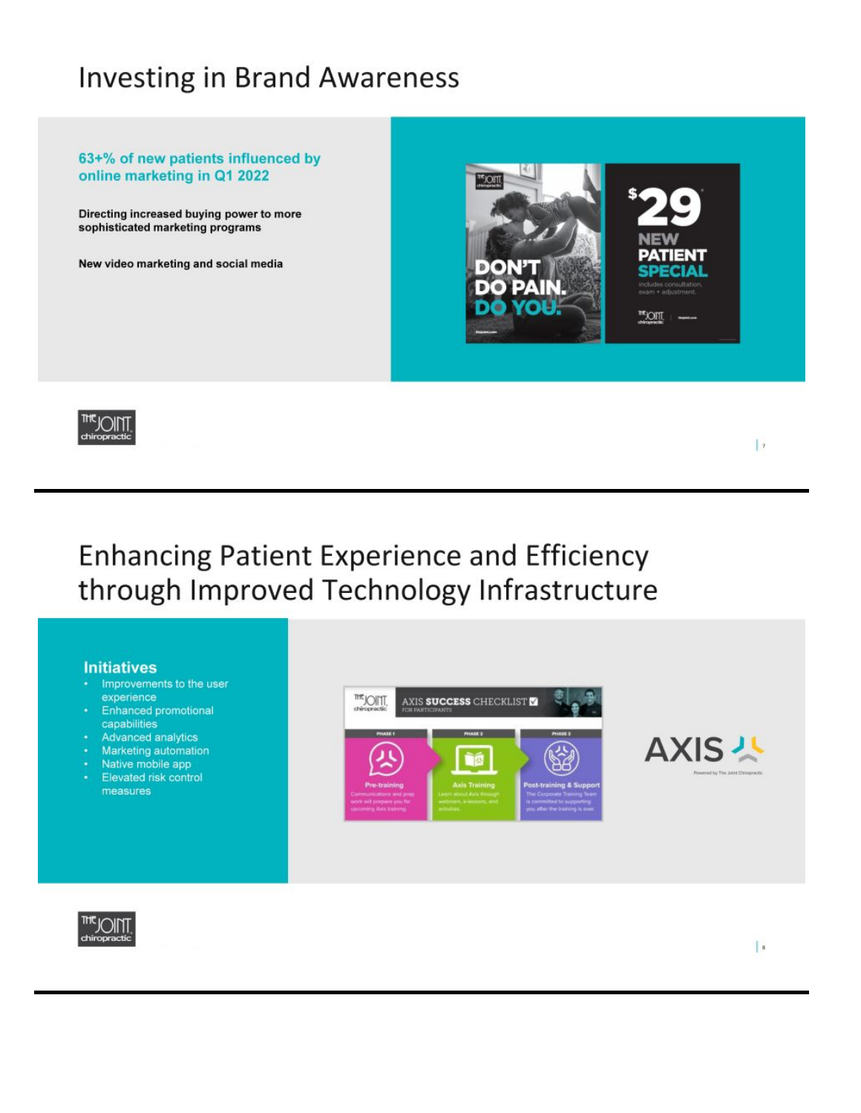# <span id="page-12-0"></span>**Investing in Brand Awareness**

### 63+% of new patients influenced by online marketing in Q1 2022

Directing increased buying power to more sophisticated marketing programs

New video marketing and social media





## $\vert$

## **Enhancing Patient Experience and Efficiency** through Improved Technology Infrastructure



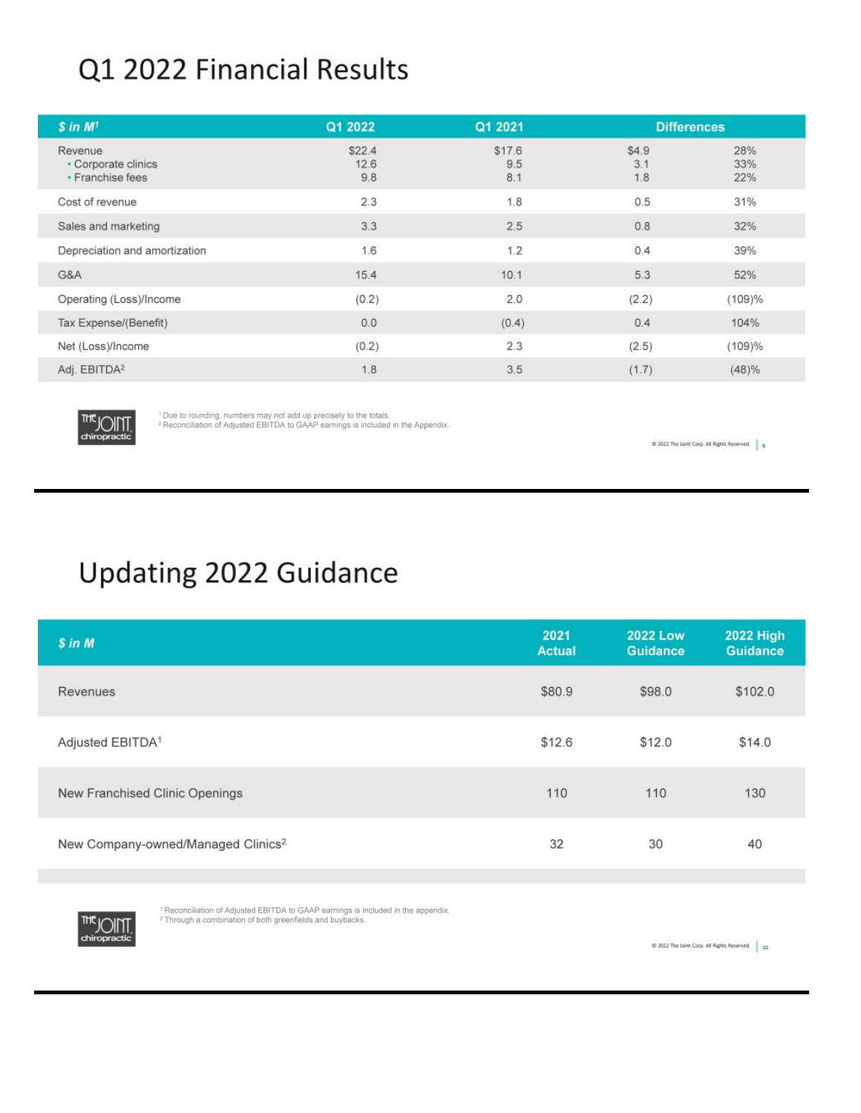# Q1 2022 Financial Results

| $$$ in $M1$                                        | Q1 2022               | Q1 2021              |                     | <b>Differences</b> |
|----------------------------------------------------|-----------------------|----------------------|---------------------|--------------------|
| Revenue<br>• Corporate clinics<br>· Franchise fees | \$22.4<br>12.6<br>9.8 | \$17.6<br>9.5<br>8.1 | \$4.9<br>3.1<br>1,8 | 28%<br>33%<br>22%  |
| Cost of revenue                                    | 2.3                   | 1.8                  | 0.5                 | 31%                |
| Sales and marketing                                | 3.3                   | 2.5                  | 0.8                 | 32%                |
| Depreciation and amortization                      | 1.6                   | 1.2                  | 0.4                 | 39%                |
| G&A                                                | 15.4                  | 10.1                 | 5.3                 | 52%                |
| Operating (Loss)/Income                            | (0.2)                 | 2.0                  | (2.2)               | (109)%             |
| Tax Expense/(Benefit)                              | 0.0                   | (0.4)                | 0.4                 | 104%               |
| Net (Loss)/Income                                  | (0.2)                 | 2.3                  | (2.5)               | (109)%             |
| Adj. EBITDA <sup>2</sup>                           | 1.8                   | 3.5                  | (1.7)               | (48)%              |



<sup>1</sup> Due to rounding, numbers may not add up precisely to the totals.<br><sup>2</sup> Reconciliation of Adjusted EBITDA to GAAP earnings is included in the Appendix.

C 2022 The Joint Corp. All Rights Reserved. 9

# Updating 2022 Guidance

| \$ in M                                        | 2021<br><b>Actual</b> | <b>2022 Low</b><br><b>Guidance</b> | <b>2022 High</b><br><b>Guidance</b> |
|------------------------------------------------|-----------------------|------------------------------------|-------------------------------------|
| Revenues                                       | \$80.9                | \$98.0                             | \$102.0                             |
| Adjusted EBITDA <sup>1</sup>                   | \$12.6                | \$12.0                             | \$14.0                              |
| New Franchised Clinic Openings                 | 110                   | 110                                | 130                                 |
| New Company-owned/Managed Clinics <sup>2</sup> | 32                    | 30                                 | 40                                  |



<sup>1</sup> Reconciliation of Adjusted EBITDA to GAAP earnings is included in the appendix.<br><sup>2</sup> Through a combination of both greenfields and buybacks.

C 2022 The Joint Corp. All Rights Reserved. | 10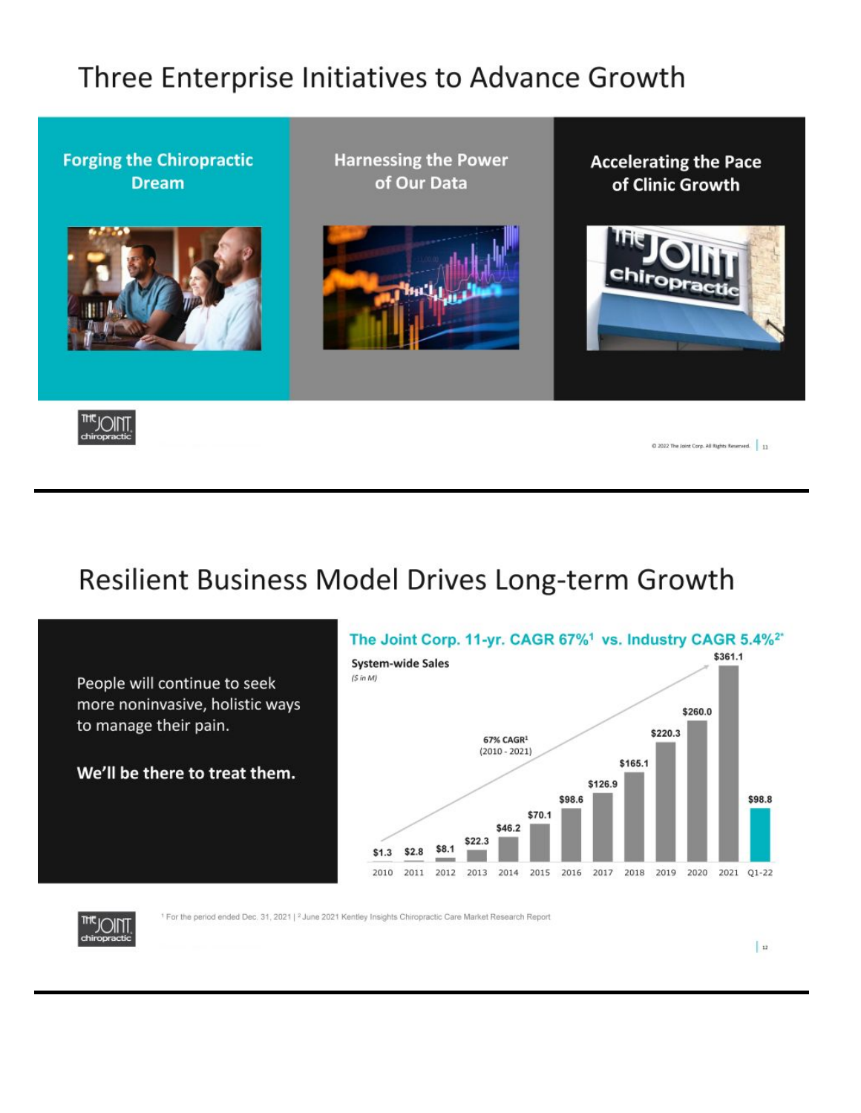# Three Enterprise Initiatives to Advance Growth



C 2022 The Joint Corp. All Rights Reserved. 11

# Resilient Business Model Drives Long-term Growth





<sup>1</sup> For the period ended Dec. 31, 2021 | <sup>2</sup> June 2021 Kentley Insights Chiropractic Care Market Research Report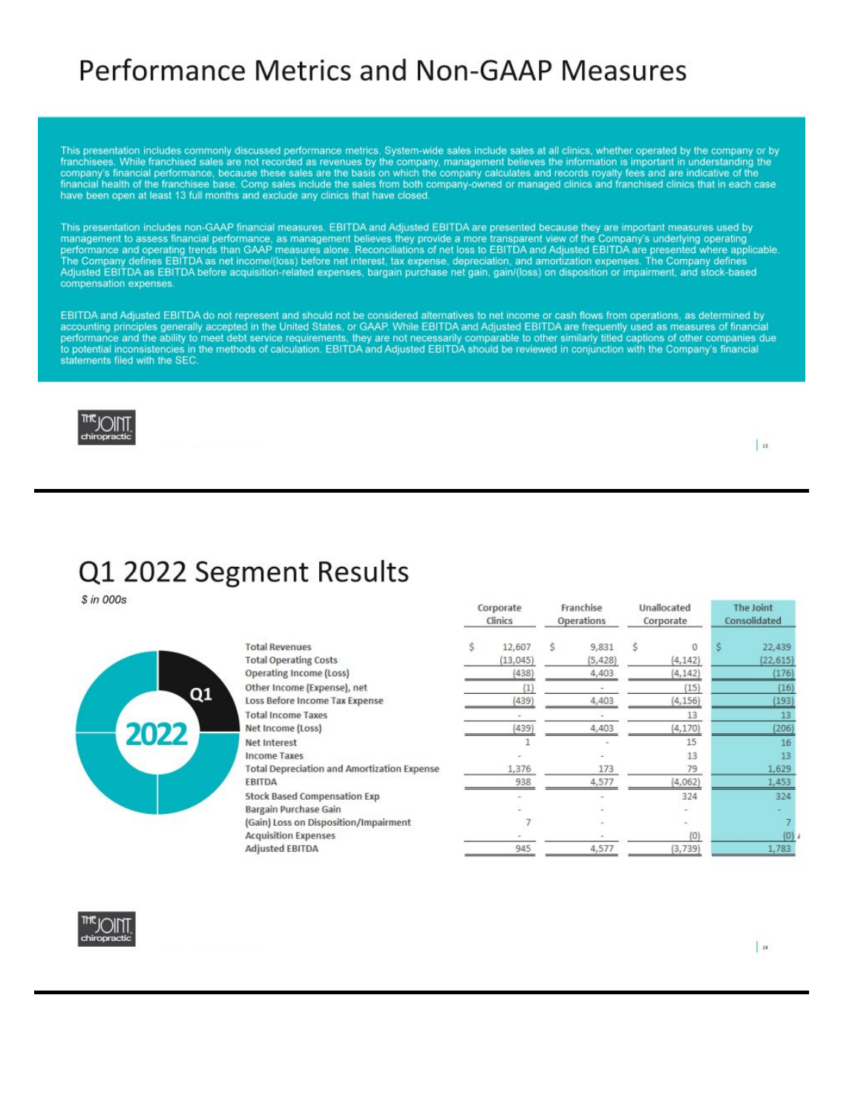## **Performance Metrics and Non-GAAP Measures**

This presentation includes commonly discussed performance metrics. System-wide sales include sales at all clinics, whether operated by the company or by franchisees. While franchised sales are not recorded as revenues by t

This presentation includes non-GAAP financial measures. EBITDA and Adjusted EBITDA are presented because they are important measures used by<br>management to assess financial performance, as management believes they provide a compensation expenses

EBITDA and Adjusted EBITDA do not represent and should not be considered alternatives to net income or cash flows from operations, as determined by<br>accounting principles generally accepted in the United States, or GAAP. Wh to potential inconsistencies in the methods of calculation. EBITDA and Adjusted EBITDA should be reviewed in conjunction with the Company's financial statements filed with the SEC



 $\vert$  13

The Joint

## Q1 2022 Segment Results

\$ in 000s



|                                                    |  | <b>Clinics</b> |  | <b>Operations</b> |  | Corporate |  | Consolidated |  |
|----------------------------------------------------|--|----------------|--|-------------------|--|-----------|--|--------------|--|
| <b>Total Revenues</b>                              |  | 12,607         |  | 9,831             |  |           |  | 22,439       |  |
| <b>Total Operating Costs</b>                       |  | (13, 045)      |  | (5, 428)          |  | (4, 142)  |  | (22, 615)    |  |
| <b>Operating Income (Loss)</b>                     |  | (438)          |  | 4,403             |  | (4, 142)  |  | (176)        |  |
| Other Income (Expense), net                        |  | 1              |  |                   |  | (15)      |  | (16)         |  |
| Loss Before Income Tax Expense                     |  | (439)          |  | 4,403             |  | (4, 156)  |  | (193)        |  |
| <b>Total Income Taxes</b>                          |  |                |  |                   |  | 13        |  | 13           |  |
| Net Income (Loss)                                  |  | (439)          |  | 4,403             |  | (4, 170)  |  | (206)        |  |
| <b>Net Interest</b>                                |  |                |  |                   |  | 15        |  | 16           |  |
| <b>Income Taxes</b>                                |  |                |  |                   |  | 13        |  | 13           |  |
| <b>Total Depreciation and Amortization Expense</b> |  | 1,376          |  | 173               |  | 79        |  | 1,629        |  |
| <b>EBITDA</b>                                      |  | 938            |  | 4,577             |  | (4,062)   |  | 1,453        |  |
| <b>Stock Based Compensation Exp</b>                |  |                |  |                   |  | 324       |  | 324          |  |
| Bargain Purchase Gain                              |  |                |  |                   |  |           |  |              |  |
| (Gain) Loss on Disposition/Impairment              |  |                |  |                   |  |           |  |              |  |
| <b>Acquisition Expenses</b>                        |  |                |  |                   |  | (0)       |  | (0)          |  |
| <b>Adjusted FRITDA</b>                             |  | 945            |  | 4.577             |  | (3.739)   |  | 783          |  |

Corporate

Franchise

Unallocated